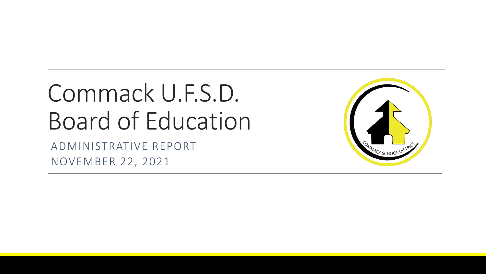# Commack U.F.S.D. Board of Education

ADMINISTRATIVE REPORT NOVEMBER 22, 2021

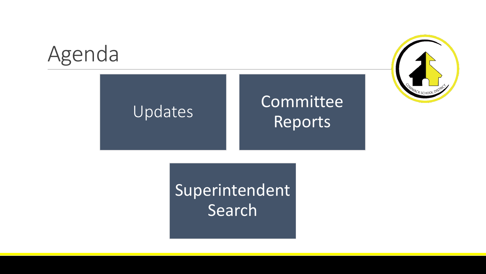### Agenda

### Updates Committee Reports



Superintendent Search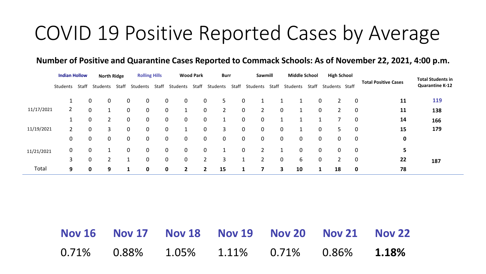### COVID 19 Positive Reported Cases by Average

#### **Number of Positive and Quarantine Cases Reported to Commack Schools: As of November 22, 2021, 4:00 p.m.**

|            | <b>Indian Hollow</b> |       | <b>North Ridge</b>         |       | <b>Rolling Hills</b> |              | <b>Wood Park</b>            |             | <b>Burr</b> |       | Sawmill        |  | <b>Middle School</b> |       | <b>High School</b> |              |                             | <b>Total Students in</b> |
|------------|----------------------|-------|----------------------------|-------|----------------------|--------------|-----------------------------|-------------|-------------|-------|----------------|--|----------------------|-------|--------------------|--------------|-----------------------------|--------------------------|
|            | Students             | Staff | Students                   | Staff | Students             | Staff        | Students                    | Staff       | Students    | Staff | Students Staff |  | Students             | Staff | Students Staff     |              | <b>Total Positive Cases</b> | <b>Quarantine K-12</b>   |
|            |                      |       | $\mathbf 0$<br>$\mathbf 0$ |       | $\mathbf 0$          | $\mathbf{0}$ | 0<br>$\mathbf{0}$           | 0           | 5           | 0     |                |  |                      |       | 0                  | $\Omega$     | 11                          | 119                      |
| 11/17/2021 | $\overline{2}$       |       | 0                          |       | 0                    | 0            | $\mathbf 0$                 | $\mathbf 0$ | 2           | 0     |                |  | 0                    |       | 0                  | 0            | 11                          | 138                      |
|            |                      |       | 2<br>0                     |       | $\mathbf 0$          | 0            | $\mathbf 0$<br>$\mathbf{0}$ | 0           |             | 0     | 0              |  |                      |       |                    | 0            | 14                          | 166                      |
| 11/19/2021 |                      |       | 3<br>0                     |       | 0                    | 0            | 0                           | 0           | 3           | 0     | 0              |  | 0                    |       | 0<br>5.            | 0            | 15                          | 179                      |
|            | 0                    |       | 0<br>$\mathbf 0$           |       | $\mathbf 0$          | $\mathbf{0}$ | $\mathbf 0$<br>$\mathbf{0}$ | 0           | 0           | 0     | 0              |  | $\mathbf 0$<br>0     |       | 0<br>0             | 0            | 0                           |                          |
| 11/21/2021 | 0                    |       | 0                          |       | $\mathbf 0$          | $\mathbf{0}$ | 0<br>$\mathbf{0}$           | 0           |             | 0     |                |  | 0                    |       | 0<br>$\mathbf 0$   | $\mathbf 0$  | 5                           |                          |
|            | 3                    |       | 0                          |       |                      | 0            | 0<br>$\mathbf{0}$           |             | 3           |       |                |  | $\mathbf 0$<br>6     |       | 0                  | $\mathbf{0}$ | 22                          | 187                      |
| Total      | 9                    |       | 9<br>0                     |       | 0<br>1               |              | 0<br>2                      | 2           | 15          |       |                |  | 10<br>3              |       | 18                 | $\mathbf 0$  | 78                          |                          |

|  |  | Nov 16 Nov 17 Nov 18 Nov 19 Nov 20 Nov 21 Nov 22 |  |
|--|--|--------------------------------------------------|--|
|  |  | $0.71\%$ 0.88% 1.05% 1.11% 0.71% 0.86% 1.18%     |  |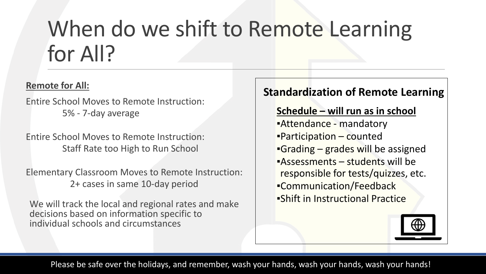## When do we shift to Remote Learning for All?

#### **Remote for All:**

Entire School Moves to Remote Instruction: 5% - 7-day average

Entire School Moves to Remote Instruction: Staff Rate too High to Run School

Elementary Classroom Moves to Remote Instruction: 2+ cases in same 10-day period

We will track the local and regional rates and make decisions based on information specific to individual schools and circumstances

### **Standardization of Remote Learning**

#### **Schedule – will run as in school**

**Attendance - mandatory**  $\blacksquare$ Participation – counted  $\blacksquare$ Grading – grades will be assigned ▪Assessments – students will be responsible for tests/quizzes, etc. ▪Communication/Feedback ▪Shift in Instructional Practice



Please be safe over the holidays, and remember, wash your hands, wash your hands, wash your hands!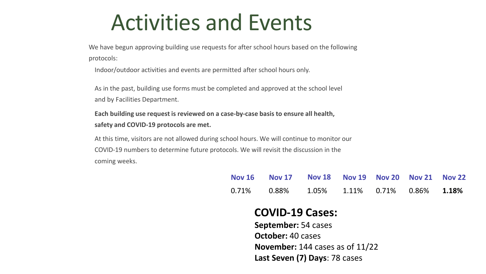### Activities and Events

We have begun approving building use requests for after school hours based on the following protocols:

Indoor/outdoor activities and events are permitted after school hours only.

As in the past, building use forms must be completed and approved at the school level and by Facilities Department.

**Each building use request is reviewed on a case-by-case basis to ensure all health, safety and COVID-19 protocols are met.**

At this time, visitors are not allowed during school hours. We will continue to monitor our COVID-19 numbers to determine future protocols. We will revisit the discussion in the coming weeks.

| Nov 16 Nov 17 Nov 18 Nov 19 Nov 20 Nov 21 Nov 22               |  |  |  |
|----------------------------------------------------------------|--|--|--|
| $0.71\%$ $0.88\%$ $1.05\%$ $1.11\%$ $0.71\%$ $0.86\%$ $1.18\%$ |  |  |  |

#### **COVID-19 Cases:**

**September:** 54 cases **October:** 40 cases **November:** 144 cases as of 11/22 **Last Seven (7) Days**: 78 cases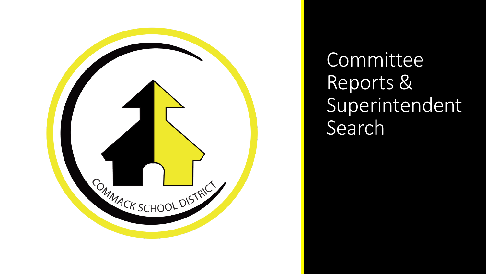

Committee Reports & Superintendent Search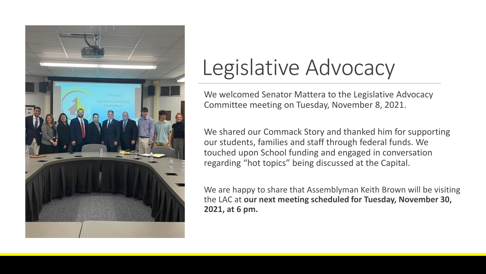

### Legislative Advocacy

We welcomed Senator Mattera to the Legislative Advocacy Committee meeting on Tuesday, November 8, 2021.

We shared our Commack Story and thanked him for supporting our students, families and staff through federal funds. We touched upon School funding and engaged in conversation regarding "hot topics" being discussed at the Capital.

We are happy to share that Assemblyman Keith Brown will be visiting the LAC at **our next meeting scheduled for Tuesday, November 30, 2021, at 6 pm.**